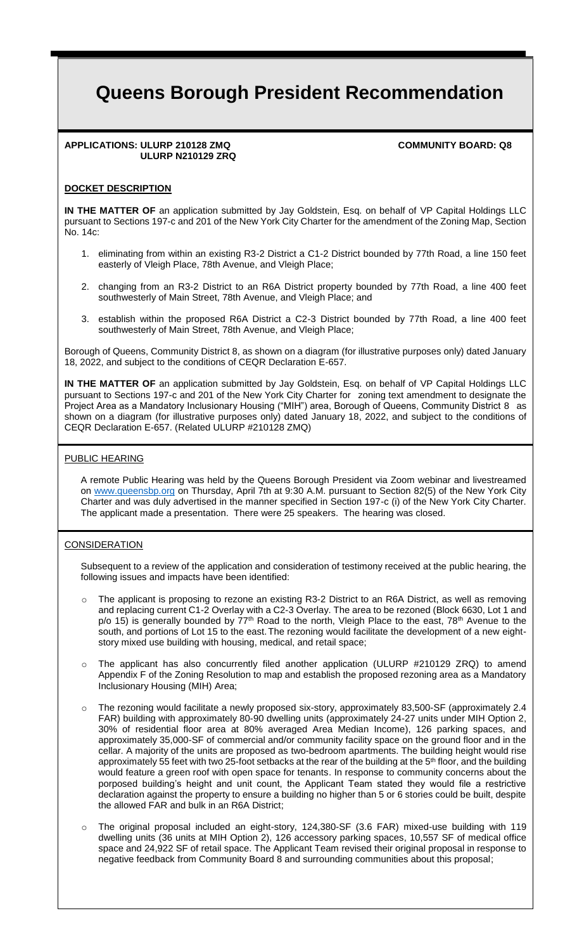# **Queens Borough President Recommendation**

#### **APPLICATIONS: ULURP 210128 ZMQ COMMUNITY BOARD: Q8 ULURP N210129 ZRQ**

# **DOCKET DESCRIPTION**

**IN THE MATTER OF** an application submitted by Jay Goldstein, Esq. on behalf of VP Capital Holdings LLC pursuant to Sections 197-c and 201 of the New York City Charter for the amendment of the Zoning Map, Section No. 14c:

- 1. eliminating from within an existing R3-2 District a C1-2 District bounded by 77th Road, a line 150 feet easterly of Vleigh Place, 78th Avenue, and Vleigh Place;
- 2. changing from an R3-2 District to an R6A District property bounded by 77th Road, a line 400 feet southwesterly of Main Street, 78th Avenue, and Vleigh Place; and
- 3. establish within the proposed R6A District a C2-3 District bounded by 77th Road, a line 400 feet southwesterly of Main Street, 78th Avenue, and Vleigh Place;

Borough of Queens, Community District 8, as shown on a diagram (for illustrative purposes only) dated January 18, 2022, and subject to the conditions of CEQR Declaration E-657.

**IN THE MATTER OF** an application submitted by Jay Goldstein, Esq. on behalf of VP Capital Holdings LLC pursuant to Sections 197-c and 201 of the New York City Charter for zoning text amendment to designate the Project Area as a Mandatory Inclusionary Housing ("MIH") area, Borough of Queens, Community District 8 as shown on a diagram (for illustrative purposes only) dated January 18, 2022, and subject to the conditions of CEQR Declaration E-657. (Related ULURP #210128 ZMQ)

## PUBLIC HEARING

A remote Public Hearing was held by the Queens Borough President via Zoom webinar and livestreamed on www.queensbp.org on Thursday, April 7th at 9:30 A.M. pursuant to Section 82(5) of the New York City Charter and was duly advertised in the manner specified in Section 197-c (i) of the New York City Charter. The applicant made a presentation. There were 25 speakers. The hearing was closed.

## **CONSIDERATION**

Subsequent to a review of the application and consideration of testimony received at the public hearing, the following issues and impacts have been identified:

- The applicant is proposing to rezone an existing R3-2 District to an R6A District, as well as removing and replacing current C1-2 Overlay with a C2-3 Overlay. The area to be rezoned (Block 6630, Lot 1 and  $p$ /o 15) is generally bounded by  $77<sup>th</sup>$  Road to the north, Vleigh Place to the east,  $78<sup>th</sup>$  Avenue to the south, and portions of Lot 15 to the east. The rezoning would facilitate the development of a new eightstory mixed use building with housing, medical, and retail space;
- o The applicant has also concurrently filed another application (ULURP #210129 ZRQ) to amend Appendix F of the Zoning Resolution to map and establish the proposed rezoning area as a Mandatory Inclusionary Housing (MIH) Area;
- o The rezoning would facilitate a newly proposed six-story, approximately 83,500-SF (approximately 2.4 FAR) building with approximately 80-90 dwelling units (approximately 24-27 units under MIH Option 2, 30% of residential floor area at 80% averaged Area Median Income), 126 parking spaces, and approximately 35,000-SF of commercial and/or community facility space on the ground floor and in the cellar. A majority of the units are proposed as two-bedroom apartments. The building height would rise approximately 55 feet with two 25-foot setbacks at the rear of the building at the 5<sup>th</sup> floor, and the building would feature a green roof with open space for tenants. In response to community concerns about the porposed building's height and unit count, the Applicant Team stated they would file a restrictive declaration against the property to ensure a building no higher than 5 or 6 stories could be built, despite the allowed FAR and bulk in an R6A District;
- o The original proposal included an eight-story, 124,380-SF (3.6 FAR) mixed-use building with 119 dwelling units (36 units at MIH Option 2), 126 accessory parking spaces, 10,557 SF of medical office space and 24,922 SF of retail space. The Applicant Team revised their original proposal in response to negative feedback from Community Board 8 and surrounding communities about this proposal;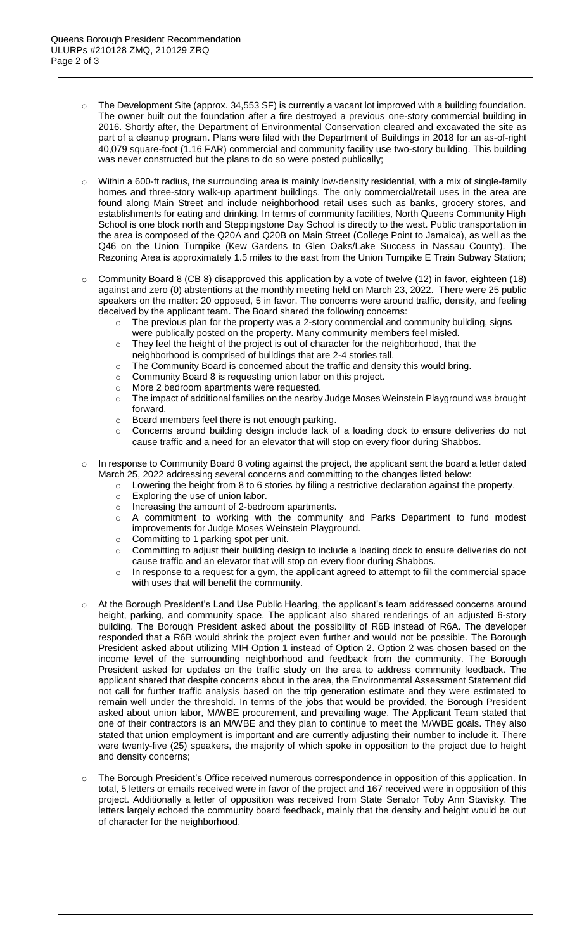- o The Development Site (approx. 34,553 SF) is currently a vacant lot improved with a building foundation. The owner built out the foundation after a fire destroyed a previous one-story commercial building in 2016. Shortly after, the Department of Environmental Conservation cleared and excavated the site as part of a cleanup program. Plans were filed with the Department of Buildings in 2018 for an as-of-right 40,079 square-foot (1.16 FAR) commercial and community facility use two-story building. This building was never constructed but the plans to do so were posted publically;
- o Within a 600-ft radius, the surrounding area is mainly low-density residential, with a mix of single-family homes and three-story walk-up apartment buildings. The only commercial/retail uses in the area are found along Main Street and include neighborhood retail uses such as banks, grocery stores, and establishments for eating and drinking. In terms of community facilities, North Queens Community High School is one block north and Steppingstone Day School is directly to the west. Public transportation in the area is composed of the Q20A and Q20B on Main Street (College Point to Jamaica), as well as the Q46 on the Union Turnpike (Kew Gardens to Glen Oaks/Lake Success in Nassau County). The Rezoning Area is approximately 1.5 miles to the east from the Union Turnpike E Train Subway Station;
- $\circ$  Community Board 8 (CB 8) disapproved this application by a vote of twelve (12) in favor, eighteen (18) against and zero (0) abstentions at the monthly meeting held on March 23, 2022. There were 25 public speakers on the matter: 20 opposed, 5 in favor. The concerns were around traffic, density, and feeling deceived by the applicant team. The Board shared the following concerns:
	- The previous plan for the property was a 2-story commercial and community building, signs were publically posted on the property. Many community members feel misled.
	- $\circ$  They feel the height of the project is out of character for the neighborhood, that the neighborhood is comprised of buildings that are 2-4 stories tall.
	- o The Community Board is concerned about the traffic and density this would bring.
	- o Community Board 8 is requesting union labor on this project.
	- o More 2 bedroom apartments were requested.
	- o The impact of additional families on the nearby Judge Moses Weinstein Playground was brought forward.
	- o Board members feel there is not enough parking.
	- o Concerns around building design include lack of a loading dock to ensure deliveries do not cause traffic and a need for an elevator that will stop on every floor during Shabbos.
- $\circ$  In response to Community Board 8 voting against the project, the applicant sent the board a letter dated March 25, 2022 addressing several concerns and committing to the changes listed below:
	- o Lowering the height from 8 to 6 stories by filing a restrictive declaration against the property.
	- o Exploring the use of union labor.
	- o Increasing the amount of 2-bedroom apartments.
	- o A commitment to working with the community and Parks Department to fund modest improvements for Judge Moses Weinstein Playground.
	- o Committing to 1 parking spot per unit.
	- o Committing to adjust their building design to include a loading dock to ensure deliveries do not cause traffic and an elevator that will stop on every floor during Shabbos.
	- $\circ$  In response to a request for a gym, the applicant agreed to attempt to fill the commercial space with uses that will benefit the community.
- At the Borough President's Land Use Public Hearing, the applicant's team addressed concerns around height, parking, and community space. The applicant also shared renderings of an adjusted 6-story building. The Borough President asked about the possibility of R6B instead of R6A. The developer responded that a R6B would shrink the project even further and would not be possible. The Borough President asked about utilizing MIH Option 1 instead of Option 2. Option 2 was chosen based on the income level of the surrounding neighborhood and feedback from the community. The Borough President asked for updates on the traffic study on the area to address community feedback. The applicant shared that despite concerns about in the area, the Environmental Assessment Statement did not call for further traffic analysis based on the trip generation estimate and they were estimated to remain well under the threshold. In terms of the jobs that would be provided, the Borough President asked about union labor, M/WBE procurement, and prevailing wage. The Applicant Team stated that one of their contractors is an M/WBE and they plan to continue to meet the M/WBE goals. They also stated that union employment is important and are currently adjusting their number to include it. There were twenty-five (25) speakers, the majority of which spoke in opposition to the project due to height and density concerns;
- o The Borough President's Office received numerous correspondence in opposition of this application. In total, 5 letters or emails received were in favor of the project and 167 received were in opposition of this project. Additionally a letter of opposition was received from State Senator Toby Ann Stavisky. The letters largely echoed the community board feedback, mainly that the density and height would be out of character for the neighborhood.